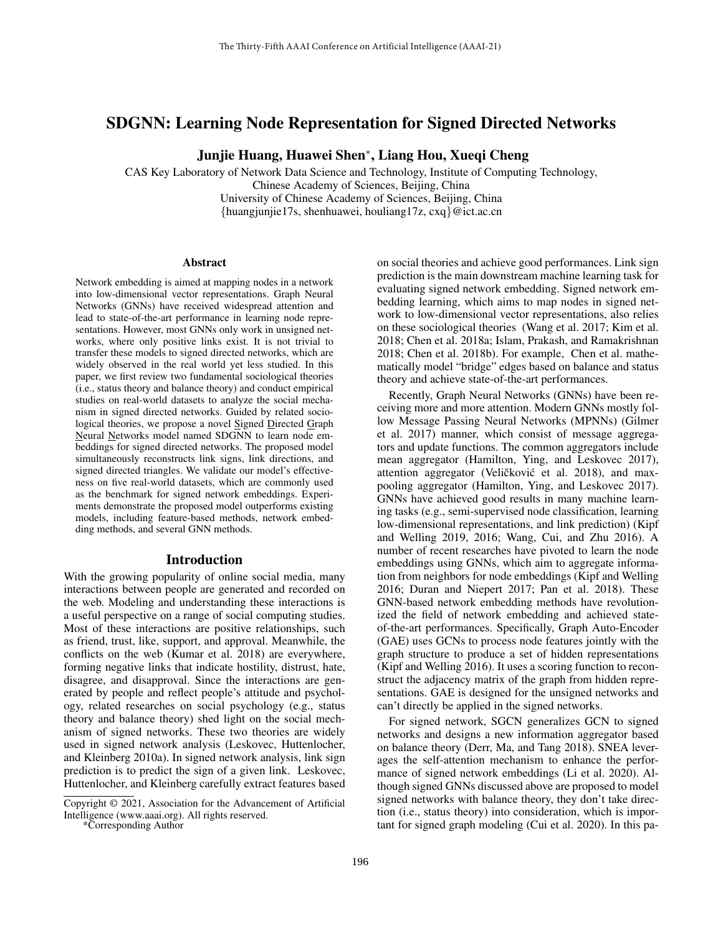# SDGNN: Learning Node Representation for Signed Directed Networks

Junjie Huang, Huawei Shen<sup>∗</sup> , Liang Hou, Xueqi Cheng

CAS Key Laboratory of Network Data Science and Technology, Institute of Computing Technology, Chinese Academy of Sciences, Beijing, China University of Chinese Academy of Sciences, Beijing, China {huangjunjie17s, shenhuawei, houliang17z, cxq}@ict.ac.cn

#### **Abstract**

Network embedding is aimed at mapping nodes in a network into low-dimensional vector representations. Graph Neural Networks (GNNs) have received widespread attention and lead to state-of-the-art performance in learning node representations. However, most GNNs only work in unsigned networks, where only positive links exist. It is not trivial to transfer these models to signed directed networks, which are widely observed in the real world yet less studied. In this paper, we first review two fundamental sociological theories (i.e., status theory and balance theory) and conduct empirical studies on real-world datasets to analyze the social mechanism in signed directed networks. Guided by related sociological theories, we propose a novel Signed Directed Graph Neural Networks model named SDGNN to learn node embeddings for signed directed networks. The proposed model simultaneously reconstructs link signs, link directions, and signed directed triangles. We validate our model's effectiveness on five real-world datasets, which are commonly used as the benchmark for signed network embeddings. Experiments demonstrate the proposed model outperforms existing models, including feature-based methods, network embedding methods, and several GNN methods.

#### Introduction

With the growing popularity of online social media, many interactions between people are generated and recorded on the web. Modeling and understanding these interactions is a useful perspective on a range of social computing studies. Most of these interactions are positive relationships, such as friend, trust, like, support, and approval. Meanwhile, the conflicts on the web (Kumar et al. 2018) are everywhere, forming negative links that indicate hostility, distrust, hate, disagree, and disapproval. Since the interactions are generated by people and reflect people's attitude and psychology, related researches on social psychology (e.g., status theory and balance theory) shed light on the social mechanism of signed networks. These two theories are widely used in signed network analysis (Leskovec, Huttenlocher, and Kleinberg 2010a). In signed network analysis, link sign prediction is to predict the sign of a given link. Leskovec, Huttenlocher, and Kleinberg carefully extract features based

\*Corresponding Author

on social theories and achieve good performances. Link sign prediction is the main downstream machine learning task for evaluating signed network embedding. Signed network embedding learning, which aims to map nodes in signed network to low-dimensional vector representations, also relies on these sociological theories (Wang et al. 2017; Kim et al. 2018; Chen et al. 2018a; Islam, Prakash, and Ramakrishnan 2018; Chen et al. 2018b). For example, Chen et al. mathematically model "bridge" edges based on balance and status theory and achieve state-of-the-art performances.

Recently, Graph Neural Networks (GNNs) have been receiving more and more attention. Modern GNNs mostly follow Message Passing Neural Networks (MPNNs) (Gilmer et al. 2017) manner, which consist of message aggregators and update functions. The common aggregators include mean aggregator (Hamilton, Ying, and Leskovec 2017), attention aggregator (Veličković et al. 2018), and maxpooling aggregator (Hamilton, Ying, and Leskovec 2017). GNNs have achieved good results in many machine learning tasks (e.g., semi-supervised node classification, learning low-dimensional representations, and link prediction) (Kipf and Welling 2019, 2016; Wang, Cui, and Zhu 2016). A number of recent researches have pivoted to learn the node embeddings using GNNs, which aim to aggregate information from neighbors for node embeddings (Kipf and Welling 2016; Duran and Niepert 2017; Pan et al. 2018). These GNN-based network embedding methods have revolutionized the field of network embedding and achieved stateof-the-art performances. Specifically, Graph Auto-Encoder (GAE) uses GCNs to process node features jointly with the graph structure to produce a set of hidden representations (Kipf and Welling 2016). It uses a scoring function to reconstruct the adjacency matrix of the graph from hidden representations. GAE is designed for the unsigned networks and can't directly be applied in the signed networks.

For signed network, SGCN generalizes GCN to signed networks and designs a new information aggregator based on balance theory (Derr, Ma, and Tang 2018). SNEA leverages the self-attention mechanism to enhance the performance of signed network embeddings (Li et al. 2020). Although signed GNNs discussed above are proposed to model signed networks with balance theory, they don't take direction (i.e., status theory) into consideration, which is important for signed graph modeling (Cui et al. 2020). In this pa-

Copyright © 2021, Association for the Advancement of Artificial Intelligence (www.aaai.org). All rights reserved.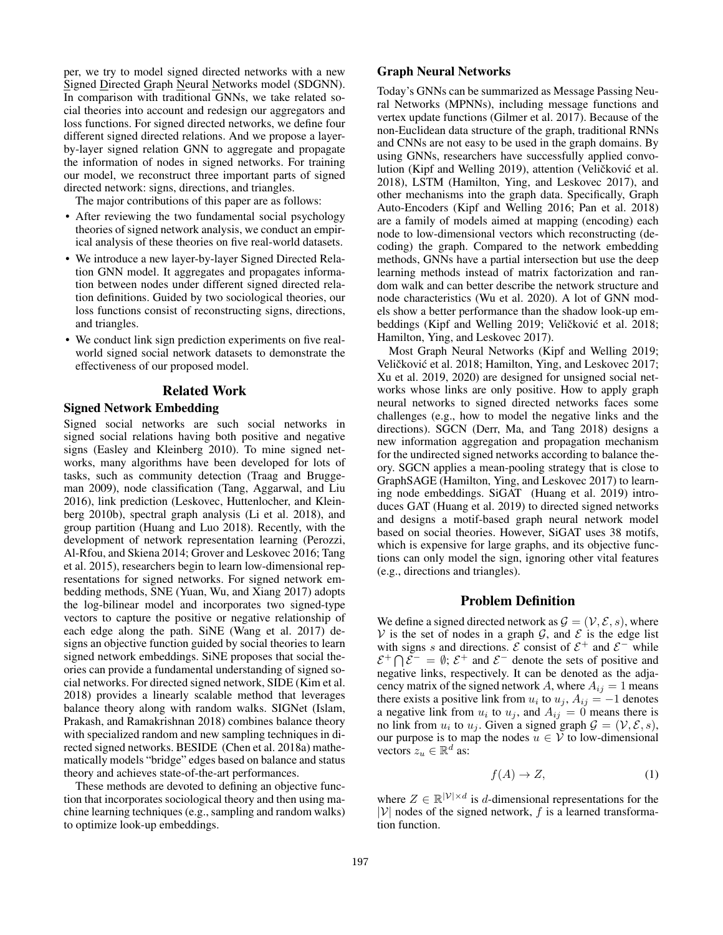per, we try to model signed directed networks with a new Signed Directed Graph Neural Networks model (SDGNN). In comparison with traditional GNNs, we take related social theories into account and redesign our aggregators and loss functions. For signed directed networks, we define four different signed directed relations. And we propose a layerby-layer signed relation GNN to aggregate and propagate the information of nodes in signed networks. For training our model, we reconstruct three important parts of signed directed network: signs, directions, and triangles.

The major contributions of this paper are as follows:

- After reviewing the two fundamental social psychology theories of signed network analysis, we conduct an empirical analysis of these theories on five real-world datasets.
- We introduce a new layer-by-layer Signed Directed Relation GNN model. It aggregates and propagates information between nodes under different signed directed relation definitions. Guided by two sociological theories, our loss functions consist of reconstructing signs, directions, and triangles.
- We conduct link sign prediction experiments on five realworld signed social network datasets to demonstrate the effectiveness of our proposed model.

## Related Work

## Signed Network Embedding

Signed social networks are such social networks in signed social relations having both positive and negative signs (Easley and Kleinberg 2010). To mine signed networks, many algorithms have been developed for lots of tasks, such as community detection (Traag and Bruggeman 2009), node classification (Tang, Aggarwal, and Liu 2016), link prediction (Leskovec, Huttenlocher, and Kleinberg 2010b), spectral graph analysis (Li et al. 2018), and group partition (Huang and Luo 2018). Recently, with the development of network representation learning (Perozzi, Al-Rfou, and Skiena 2014; Grover and Leskovec 2016; Tang et al. 2015), researchers begin to learn low-dimensional representations for signed networks. For signed network embedding methods, SNE (Yuan, Wu, and Xiang 2017) adopts the log-bilinear model and incorporates two signed-type vectors to capture the positive or negative relationship of each edge along the path. SiNE (Wang et al. 2017) designs an objective function guided by social theories to learn signed network embeddings. SiNE proposes that social theories can provide a fundamental understanding of signed social networks. For directed signed network, SIDE (Kim et al. 2018) provides a linearly scalable method that leverages balance theory along with random walks. SIGNet (Islam, Prakash, and Ramakrishnan 2018) combines balance theory with specialized random and new sampling techniques in directed signed networks. BESIDE (Chen et al. 2018a) mathematically models "bridge" edges based on balance and status theory and achieves state-of-the-art performances.

These methods are devoted to defining an objective function that incorporates sociological theory and then using machine learning techniques (e.g., sampling and random walks) to optimize look-up embeddings.

#### Graph Neural Networks

Today's GNNs can be summarized as Message Passing Neural Networks (MPNNs), including message functions and vertex update functions (Gilmer et al. 2017). Because of the non-Euclidean data structure of the graph, traditional RNNs and CNNs are not easy to be used in the graph domains. By using GNNs, researchers have successfully applied convolution (Kipf and Welling 2019), attention (Veličković et al. 2018), LSTM (Hamilton, Ying, and Leskovec 2017), and other mechanisms into the graph data. Specifically, Graph Auto-Encoders (Kipf and Welling 2016; Pan et al. 2018) are a family of models aimed at mapping (encoding) each node to low-dimensional vectors which reconstructing (decoding) the graph. Compared to the network embedding methods, GNNs have a partial intersection but use the deep learning methods instead of matrix factorization and random walk and can better describe the network structure and node characteristics (Wu et al. 2020). A lot of GNN models show a better performance than the shadow look-up embeddings (Kipf and Welling 2019; Veličković et al. 2018; Hamilton, Ying, and Leskovec 2017).

Most Graph Neural Networks (Kipf and Welling 2019; Veličković et al. 2018; Hamilton, Ying, and Leskovec 2017; Xu et al. 2019, 2020) are designed for unsigned social networks whose links are only positive. How to apply graph neural networks to signed directed networks faces some challenges (e.g., how to model the negative links and the directions). SGCN (Derr, Ma, and Tang 2018) designs a new information aggregation and propagation mechanism for the undirected signed networks according to balance theory. SGCN applies a mean-pooling strategy that is close to GraphSAGE (Hamilton, Ying, and Leskovec 2017) to learning node embeddings. SiGAT (Huang et al. 2019) introduces GAT (Huang et al. 2019) to directed signed networks and designs a motif-based graph neural network model based on social theories. However, SiGAT uses 38 motifs, which is expensive for large graphs, and its objective functions can only model the sign, ignoring other vital features (e.g., directions and triangles).

#### Problem Definition

We define a signed directed network as  $\mathcal{G} = (\mathcal{V}, \mathcal{E}, s)$ , where V is the set of nodes in a graph  $G$ , and  $E$  is the edge list with signs s and directions.  $\mathcal{E}$  consist of  $\mathcal{E}^+$  and  $\mathcal{E}^-$  while  $\mathcal{E}^+ \cap \tilde{\mathcal{E}}^- = \emptyset$ ;  $\mathcal{E}^+$  and  $\mathcal{E}^-$  denote the sets of positive and negative links, respectively. It can be denoted as the adjacency matrix of the signed network A, where  $A_{ij} = 1$  means there exists a positive link from  $u_i$  to  $u_j$ ,  $A_{ij} = -1$  denotes a negative link from  $u_i$  to  $u_j$ , and  $A_{ij} = 0$  means there is no link from  $u_i$  to  $u_j$ . Given a signed graph  $\mathcal{G} = (\mathcal{V}, \mathcal{E}, s)$ , our purpose is to map the nodes  $u \in V$  to low-dimensional vectors  $z_u \in \mathbb{R}^d$  as:

$$
f(A) \to Z,\tag{1}
$$

where  $Z \in \mathbb{R}^{|\mathcal{V}| \times d}$  is d-dimensional representations for the  $|V|$  nodes of the signed network, f is a learned transformation function.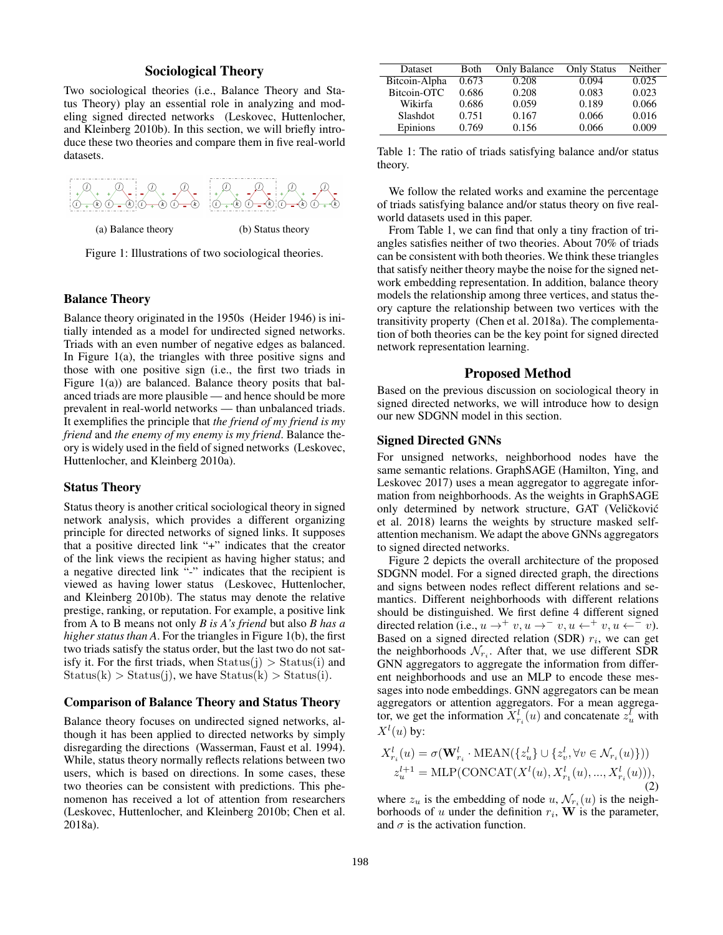## Sociological Theory

Two sociological theories (i.e., Balance Theory and Status Theory) play an essential role in analyzing and modeling signed directed networks (Leskovec, Huttenlocher, and Kleinberg 2010b). In this section, we will briefly introduce these two theories and compare them in five real-world datasets.



(a) Balance theory (b) Status theory

Figure 1: Illustrations of two sociological theories.

#### Balance Theory

Balance theory originated in the 1950s (Heider 1946) is initially intended as a model for undirected signed networks. Triads with an even number of negative edges as balanced. In Figure  $1(a)$ , the triangles with three positive signs and those with one positive sign (i.e., the first two triads in Figure  $1(a)$  are balanced. Balance theory posits that balanced triads are more plausible — and hence should be more prevalent in real-world networks — than unbalanced triads. It exemplifies the principle that *the friend of my friend is my friend* and *the enemy of my enemy is my friend*. Balance theory is widely used in the field of signed networks (Leskovec, Huttenlocher, and Kleinberg 2010a).

#### Status Theory

Status theory is another critical sociological theory in signed network analysis, which provides a different organizing principle for directed networks of signed links. It supposes that a positive directed link "+" indicates that the creator of the link views the recipient as having higher status; and a negative directed link "-" indicates that the recipient is viewed as having lower status (Leskovec, Huttenlocher, and Kleinberg 2010b). The status may denote the relative prestige, ranking, or reputation. For example, a positive link from A to B means not only *B is A's friend* but also *B has a higher status than A*. For the triangles in Figure 1(b), the first two triads satisfy the status order, but the last two do not satisfy it. For the first triads, when  $Status(j) > Status(i)$  and  $Status(k) > Status(j)$ , we have  $Status(k) > Status(i)$ .

#### Comparison of Balance Theory and Status Theory

Balance theory focuses on undirected signed networks, although it has been applied to directed networks by simply disregarding the directions (Wasserman, Faust et al. 1994). While, status theory normally reflects relations between two users, which is based on directions. In some cases, these two theories can be consistent with predictions. This phenomenon has received a lot of attention from researchers (Leskovec, Huttenlocher, and Kleinberg 2010b; Chen et al. 2018a).

| Dataset       | Both  | Only Balance | <b>Only Status</b> | Neither |
|---------------|-------|--------------|--------------------|---------|
| Bitcoin-Alpha | 0.673 | 0.208        | 0.094              | 0.025   |
| Bitcoin-OTC   | 0.686 | 0.208        | 0.083              | 0.023   |
| Wikirfa       | 0.686 | 0.059        | 0.189              | 0.066   |
| Slashdot      | 0.751 | 0.167        | 0.066              | 0.016   |
| Epinions      | 0.769 | 0.156        | 0.066              | 0.009   |

Table 1: The ratio of triads satisfying balance and/or status theory.

We follow the related works and examine the percentage of triads satisfying balance and/or status theory on five realworld datasets used in this paper.

From Table 1, we can find that only a tiny fraction of triangles satisfies neither of two theories. About 70% of triads can be consistent with both theories. We think these triangles that satisfy neither theory maybe the noise for the signed network embedding representation. In addition, balance theory models the relationship among three vertices, and status theory capture the relationship between two vertices with the transitivity property (Chen et al. 2018a). The complementation of both theories can be the key point for signed directed network representation learning.

#### Proposed Method

Based on the previous discussion on sociological theory in signed directed networks, we will introduce how to design our new SDGNN model in this section.

### Signed Directed GNNs

For unsigned networks, neighborhood nodes have the same semantic relations. GraphSAGE (Hamilton, Ying, and Leskovec 2017) uses a mean aggregator to aggregate information from neighborhoods. As the weights in GraphSAGE only determined by network structure, GAT (Veličković et al. 2018) learns the weights by structure masked selfattention mechanism. We adapt the above GNNs aggregators to signed directed networks.

Figure 2 depicts the overall architecture of the proposed SDGNN model. For a signed directed graph, the directions and signs between nodes reflect different relations and semantics. Different neighborhoods with different relations should be distinguished. We first define 4 different signed directed relation (i.e.,  $u \rightarrow^+ v, u \rightarrow^- v, u \leftarrow^+ v, u \leftarrow^- v$ ). Based on a signed directed relation (SDR)  $r_i$ , we can get the neighborhoods  $\mathcal{N}_{r_i}$ . After that, we use different SDR GNN aggregators to aggregate the information from different neighborhoods and use an MLP to encode these messages into node embeddings. GNN aggregators can be mean aggregators or attention aggregators. For a mean aggregator, we get the information  $X_{r_i}^l(u)$  and concatenate  $z_u^l$  with  $X^l(u)$  by:

$$
X_{r_i}^l(u) = \sigma(\mathbf{W}_{r_i}^l \cdot \text{MEAN}(\{z_u^l\} \cup \{z_v^l, \forall v \in \mathcal{N}_{r_i}(u)\}))
$$
  

$$
z_u^{l+1} = \text{MLP}(\text{CONCAT}(X^l(u), X_{r_1}^l(u), ..., X_{r_i}^l(u))),
$$
  
(2)

where  $z_u$  is the embedding of node  $u, \mathcal{N}_{r_i}(u)$  is the neighborhoods of u under the definition  $r_i$ , W is the parameter, and  $\sigma$  is the activation function.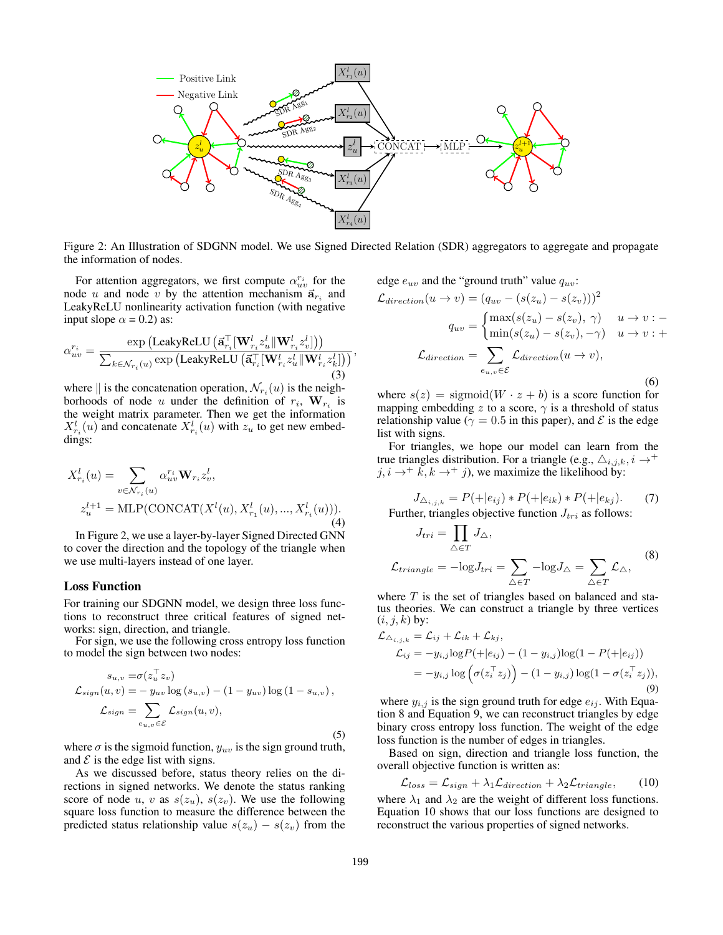

Figure 2: An Illustration of SDGNN model. We use Signed Directed Relation (SDR) aggregators to aggregate and propagate the information of nodes.

For attention aggregators, we first compute  $\alpha_{uv}^{r_i}$  for the node u and node v by the attention mechanism  $\vec{a}_{r_i}$  and LeakyReLU nonlinearity activation function (with negative input slope  $\alpha = 0.2$ ) as:

$$
\alpha_{uv}^{r_i} = \frac{\exp\left(\text{LeakyReLU}\left(\vec{\mathbf{a}}_{r_i}^{\top}[\mathbf{W}_{r_i}^l z_u^l \|\mathbf{W}_{r_i}^l z_v^l]\right)\right)}{\sum_{k \in \mathcal{N}_{r_i}(u)} \exp\left(\text{LeakyReLU}\left(\vec{\mathbf{a}}_{r_i}^{\top}[\mathbf{W}_{r_i}^l z_u^l \|\mathbf{W}_{r_i}^l z_u^l\right]\right)},\tag{3}
$$

where  $\parallel$  is the concatenation operation,  $\mathcal{N}_{r_i}(u)$  is the neighborhoods of node u under the definition of  $r_i$ ,  $\mathbf{W}_{r_i}$  is the weight matrix parameter. Then we get the information  $X_{r_i}^l(u)$  and concatenate  $X_{r_i}^l(u)$  with  $z_u$  to get new embeddings:

$$
X_{r_i}^l(u) = \sum_{v \in \mathcal{N}_{r_i}(u)} \alpha_{uv}^{r_i} \mathbf{W}_{r_i} z_v^l,
$$
  
\n
$$
z_u^{l+1} = \text{MLP}(\text{CONCAT}(X^l(u), X_{r_1}^l(u), ..., X_{r_i}^l(u))).
$$
  
\n(4)

In Figure 2, we use a layer-by-layer Signed Directed GNN to cover the direction and the topology of the triangle when we use multi-layers instead of one layer.

#### Loss Function

For training our SDGNN model, we design three loss functions to reconstruct three critical features of signed networks: sign, direction, and triangle.

For sign, we use the following cross entropy loss function to model the sign between two nodes:

$$
s_{u,v} = \sigma(z_u^{\top} z_v)
$$
  
\n
$$
\mathcal{L}_{sign}(u,v) = -y_{uv} \log(s_{u,v}) - (1 - y_{uv}) \log(1 - s_{u,v}),
$$
  
\n
$$
\mathcal{L}_{sign} = \sum_{e_{u,v} \in \mathcal{E}} \mathcal{L}_{sign}(u,v),
$$
\n(5)

where  $\sigma$  is the sigmoid function,  $y_{uv}$  is the sign ground truth, and  $\mathcal E$  is the edge list with signs.

As we discussed before, status theory relies on the directions in signed networks. We denote the status ranking score of node u, v as  $s(z_u)$ ,  $s(z_v)$ . We use the following square loss function to measure the difference between the predicted status relationship value  $s(z_u) - s(z_v)$  from the

edge  $e_{uv}$  and the "ground truth" value  $q_{uv}$ :

$$
\mathcal{L}_{direction}(u \to v) = (q_{uv} - (s(z_u) - s(z_v)))^2
$$

$$
q_{uv} = \begin{cases} \max(s(z_u) - s(z_v), \, \gamma) & u \to v : -\\ \min(s(z_u) - s(z_v), \, \gamma) & u \to v : + \end{cases}
$$

$$
\mathcal{L}_{direction} = \sum_{e_{u,v} \in \mathcal{E}} \mathcal{L}_{direction}(u \to v),
$$

$$
(6)
$$

where  $s(z) = \text{sigmoid}(W \cdot z + b)$  is a score function for mapping embedding z to a score,  $\gamma$  is a threshold of status relationship value ( $\gamma = 0.5$  in this paper), and  $\mathcal E$  is the edge list with signs.

For triangles, we hope our model can learn from the true triangles distribution. For a triangle (e.g.,  $\triangle_{i,j,k}$ ,  $i \rightarrow^{+}$  $j, i \rightarrow^+ k, k \rightarrow^+ j$ , we maximize the likelihood by:

$$
J_{\triangle_{i,j,k}} = P(+|e_{ij}) * P(+|e_{ik}) * P(+|e_{kj}).
$$
 (7)  
Further, triangles objective function  $J_{tri}$  as follows:

 $J_{tri} = \prod$  $\triangle \in T$  $J_\triangle,$  $\mathcal{L}_{triangle} = -\log J_{tri} = \sum$  $\triangle \in T$  $-\mathrm{log}J_{\triangle}=\sum$  $\triangle \in T$  $\mathcal{L}_{\triangle},$ (8)

where  $T$  is the set of triangles based on balanced and status theories. We can construct a triangle by three vertices  $(i, j, k)$  by:

$$
\mathcal{L}_{\Delta_{i,j,k}} = \mathcal{L}_{ij} + \mathcal{L}_{ik} + \mathcal{L}_{kj}, \n\mathcal{L}_{ij} = -y_{i,j} \log P(+|e_{ij}) - (1 - y_{i,j}) \log (1 - P(+|e_{ij})) \n= -y_{i,j} \log \left( \sigma(z_i^{\top} z_j) \right) - (1 - y_{i,j}) \log (1 - \sigma(z_i^{\top} z_j)),
$$
\n(9)

where  $y_{i,j}$  is the sign ground truth for edge  $e_{ij}$ . With Equation 8 and Equation 9, we can reconstruct triangles by edge binary cross entropy loss function. The weight of the edge loss function is the number of edges in triangles.

Based on sign, direction and triangle loss function, the overall objective function is written as:

$$
\mathcal{L}_{loss} = \mathcal{L}_{sign} + \lambda_1 \mathcal{L}_{direction} + \lambda_2 \mathcal{L}_{triangle}, \qquad (10)
$$

where  $\lambda_1$  and  $\lambda_2$  are the weight of different loss functions. Equation 10 shows that our loss functions are designed to reconstruct the various properties of signed networks.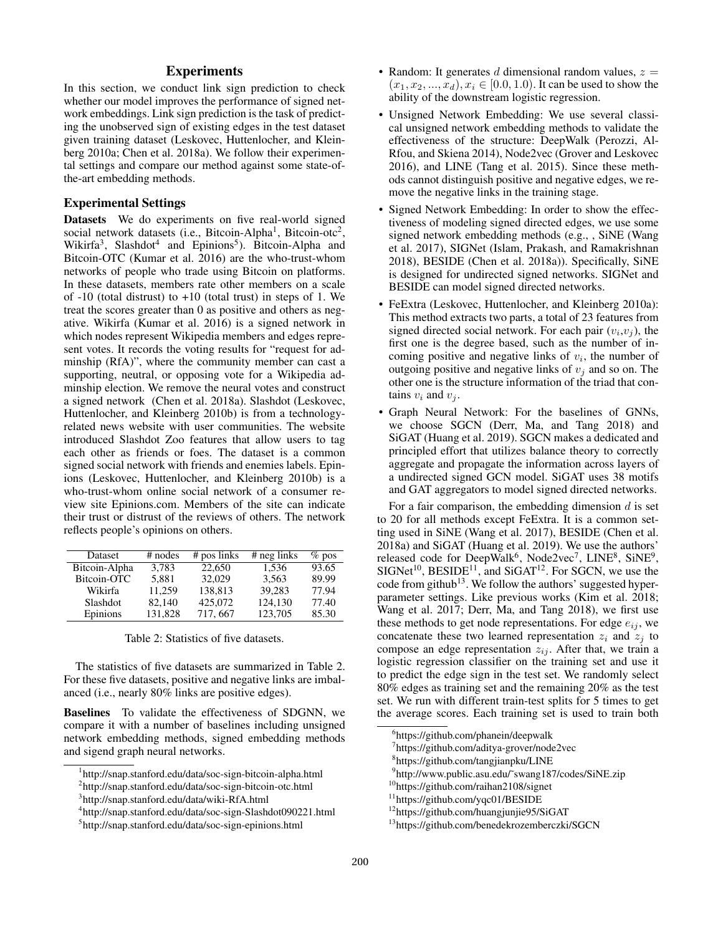## **Experiments**

In this section, we conduct link sign prediction to check whether our model improves the performance of signed network embeddings. Link sign prediction is the task of predicting the unobserved sign of existing edges in the test dataset given training dataset (Leskovec, Huttenlocher, and Kleinberg 2010a; Chen et al. 2018a). We follow their experimental settings and compare our method against some state-ofthe-art embedding methods.

#### Experimental Settings

Datasets We do experiments on five real-world signed social network datasets (i.e., Bitcoin-Alpha<sup>1</sup>, Bitcoin-otc<sup>2</sup>, Wikirfa<sup>3</sup>, Slashdot<sup>4</sup> and Epinions<sup>5</sup>). Bitcoin-Alpha and Bitcoin-OTC (Kumar et al. 2016) are the who-trust-whom networks of people who trade using Bitcoin on platforms. In these datasets, members rate other members on a scale of  $-10$  (total distrust) to  $+10$  (total trust) in steps of 1. We treat the scores greater than 0 as positive and others as negative. Wikirfa (Kumar et al. 2016) is a signed network in which nodes represent Wikipedia members and edges represent votes. It records the voting results for "request for adminship (RfA)", where the community member can cast a supporting, neutral, or opposing vote for a Wikipedia adminship election. We remove the neural votes and construct a signed network (Chen et al. 2018a). Slashdot (Leskovec, Huttenlocher, and Kleinberg 2010b) is from a technologyrelated news website with user communities. The website introduced Slashdot Zoo features that allow users to tag each other as friends or foes. The dataset is a common signed social network with friends and enemies labels. Epinions (Leskovec, Huttenlocher, and Kleinberg 2010b) is a who-trust-whom online social network of a consumer review site Epinions.com. Members of the site can indicate their trust or distrust of the reviews of others. The network reflects people's opinions on others.

| Dataset       | $#$ nodes | $#$ pos links | $#$ neg links | $%$ pos |
|---------------|-----------|---------------|---------------|---------|
| Bitcoin-Alpha | 3.783     | 22,650        | 1.536         | 93.65   |
| Bitcoin-OTC   | 5.881     | 32,029        | 3.563         | 89.99   |
| Wikirfa       | 11.259    | 138.813       | 39.283        | 77.94   |
| Slashdot      | 82,140    | 425,072       | 124,130       | 77.40   |
| Epinions      | 131,828   | 717, 667      | 123,705       | 85.30   |

Table 2: Statistics of five datasets.

The statistics of five datasets are summarized in Table 2. For these five datasets, positive and negative links are imbalanced (i.e., nearly 80% links are positive edges).

Baselines To validate the effectiveness of SDGNN, we compare it with a number of baselines including unsigned network embedding methods, signed embedding methods and sigend graph neural networks.

- Random: It generates d dimensional random values,  $z =$  $(x_1, x_2, ..., x_d), x_i \in [0.0, 1.0)$ . It can be used to show the ability of the downstream logistic regression.
- Unsigned Network Embedding: We use several classical unsigned network embedding methods to validate the effectiveness of the structure: DeepWalk (Perozzi, Al-Rfou, and Skiena 2014), Node2vec (Grover and Leskovec 2016), and LINE (Tang et al. 2015). Since these methods cannot distinguish positive and negative edges, we remove the negative links in the training stage.
- Signed Network Embedding: In order to show the effectiveness of modeling signed directed edges, we use some signed network embedding methods (e.g., , SiNE (Wang et al. 2017), SIGNet (Islam, Prakash, and Ramakrishnan 2018), BESIDE (Chen et al. 2018a)). Specifically, SiNE is designed for undirected signed networks. SIGNet and BESIDE can model signed directed networks.
- FeExtra (Leskovec, Huttenlocher, and Kleinberg 2010a): This method extracts two parts, a total of 23 features from signed directed social network. For each pair  $(v_i, v_j)$ , the first one is the degree based, such as the number of incoming positive and negative links of  $v_i$ , the number of outgoing positive and negative links of  $v_j$  and so on. The other one is the structure information of the triad that contains  $v_i$  and  $v_j$ .
- Graph Neural Network: For the baselines of GNNs, we choose SGCN (Derr, Ma, and Tang 2018) and SiGAT (Huang et al. 2019). SGCN makes a dedicated and principled effort that utilizes balance theory to correctly aggregate and propagate the information across layers of a undirected signed GCN model. SiGAT uses 38 motifs and GAT aggregators to model signed directed networks.

For a fair comparison, the embedding dimension  $d$  is set to 20 for all methods except FeExtra. It is a common setting used in SiNE (Wang et al. 2017), BESIDE (Chen et al. 2018a) and SiGAT (Huang et al. 2019). We use the authors' released code for DeepWalk<sup>6</sup>, Node2vec<sup>7</sup>, LINE<sup>8</sup>, SiNE<sup>9</sup>,  $SIGNet<sup>10</sup>$ ,  $BESIDE<sup>11</sup>$ , and  $SigAT<sup>12</sup>$ . For SGCN, we use the code from github<sup>13</sup>. We follow the authors' suggested hyperparameter settings. Like previous works (Kim et al. 2018; Wang et al. 2017; Derr, Ma, and Tang 2018), we first use these methods to get node representations. For edge  $e_{ij}$ , we concatenate these two learned representation  $z_i$  and  $z_j$  to compose an edge representation  $z_{ij}$ . After that, we train a logistic regression classifier on the training set and use it to predict the edge sign in the test set. We randomly select 80% edges as training set and the remaining 20% as the test set. We run with different train-test splits for 5 times to get the average scores. Each training set is used to train both

<sup>1</sup> http://snap.stanford.edu/data/soc-sign-bitcoin-alpha.html

<sup>2</sup> http://snap.stanford.edu/data/soc-sign-bitcoin-otc.html

<sup>3</sup> http://snap.stanford.edu/data/wiki-RfA.html

<sup>4</sup> http://snap.stanford.edu/data/soc-sign-Slashdot090221.html

<sup>5</sup> http://snap.stanford.edu/data/soc-sign-epinions.html

<sup>6</sup> https://github.com/phanein/deepwalk

<sup>7</sup> https://github.com/aditya-grover/node2vec

<sup>8</sup> https://github.com/tangjianpku/LINE

<sup>9</sup> http://www.public.asu.edu/˜swang187/codes/SiNE.zip

<sup>&</sup>lt;sup>10</sup>https://github.com/raihan2108/signet

<sup>11</sup>https://github.com/yqc01/BESIDE

<sup>12</sup>https://github.com/huangjunjie95/SiGAT

<sup>13</sup>https://github.com/benedekrozemberczki/SGCN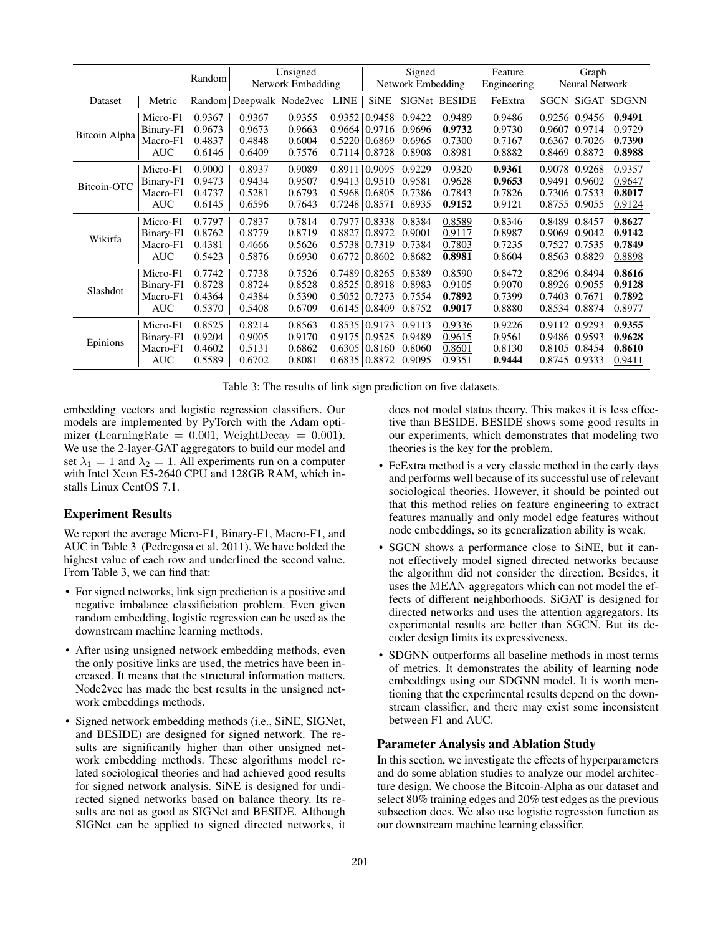|               |            | Random |        | Unsigned<br>Network Embedding |                      |                      | Signed<br>Network Embedding |               | Feature<br>Engineering |               | Graph<br>Neural Network |                         |
|---------------|------------|--------|--------|-------------------------------|----------------------|----------------------|-----------------------------|---------------|------------------------|---------------|-------------------------|-------------------------|
| Dataset       | Metric     |        |        | Random Deepwalk Node2vec      | LINE                 | <b>SiNE</b>          |                             | SIGNet BESIDE | FeExtra                |               |                         | <b>SGCN SiGAT SDGNN</b> |
|               | Micro-F1   | 0.9367 | 0.9367 | 0.9355                        |                      | $0.9352 \mid 0.9458$ | 0.9422                      | 0.9489        | 0.9486                 |               | 0.9256 0.9456           | 0.9491                  |
| Bitcoin Alpha | Binary-F1  | 0.9673 | 0.9673 | 0.9663                        |                      | $0.9664 \mid 0.9716$ | 0.9696                      | 0.9732        | 0.9730                 | 0.9607        | 0.9714                  | 0.9729                  |
|               | Macro-F1   | 0.4837 | 0.4848 | 0.6004                        | 0.5220(0.6869)       |                      | 0.6965                      | 0.7300        | 0.7167                 | 0.6367        | 0.7026                  | 0.7390                  |
|               | <b>AUC</b> | 0.6146 | 0.6409 | 0.7576                        | $0.7114 \mid 0.8728$ |                      | 0.8908                      | 0.8981        | 0.8882                 | 0.8469        | 0.8872                  | 0.8988                  |
|               | Micro-F1   | 0.9000 | 0.8937 | 0.9089                        |                      | 0.8911   0.9095      | 0.9229                      | 0.9320        | 0.9361                 |               | 0.9078 0.9268           | 0.9357                  |
| Bitcoin-OTC   | Binary-F1  | 0.9473 | 0.9434 | 0.9507                        | $0.9413 \mid 0.9510$ |                      | 0.9581                      | 0.9628        | 0.9653                 | 0.9491        | 0.9602                  | 0.9647                  |
|               | Macro-F1   | 0.4737 | 0.5281 | 0.6793                        | $0.5968 \mid 0.6805$ |                      | 0.7386                      | 0.7843        | 0.7826                 | 0.7306 0.7533 |                         | 0.8017                  |
|               | <b>AUC</b> | 0.6145 | 0.6596 | 0.7643                        | $0.7248 \mid 0.8571$ |                      | 0.8935                      | 0.9152        | 0.9121                 |               | 0.8755 0.9055           | 0.9124                  |
|               | Micro-F1   | 0.7797 | 0.7837 | 0.7814                        |                      | $0.7977 \mid 0.8338$ | 0.8384                      | 0.8589        | 0.8346                 | 0.8489        | 0.8457                  | 0.8627                  |
| Wikirfa       | Binary-F1  | 0.8762 | 0.8779 | 0.8719                        | 0.8827               | 0.8972               | 0.9001                      | 0.9117        | 0.8987                 | 0.9069        | 0.9042                  | 0.9142                  |
|               | Macro-F1   | 0.4381 | 0.4666 | 0.5626                        | $0.5738 \mid 0.7319$ |                      | 0.7384                      | 0.7803        | 0.7235                 | 0.7527        | 0.7535                  | 0.7849                  |
|               | <b>AUC</b> | 0.5423 | 0.5876 | 0.6930                        |                      | 0.6772   0.8602      | 0.8682                      | 0.8981        | 0.8604                 |               | 0.8563 0.8829           | 0.8898                  |
|               | Micro-F1   | 0.7742 | 0.7738 | 0.7526                        |                      | $0.7489 \mid 0.8265$ | 0.8389                      | 0.8590        | 0.8472                 |               | 0.8296 0.8494           | 0.8616                  |
| Slashdot      | Binary-F1  | 0.8728 | 0.8724 | 0.8528                        | 0.8525               | 0.8918               | 0.8983                      | 0.9105        | 0.9070                 |               | 0.8926 0.9055           | 0.9128                  |
|               | Macro-F1   | 0.4364 | 0.4384 | 0.5390                        | $0.5052 \mid 0.7273$ |                      | 0.7554                      | 0.7892        | 0.7399                 | 0.7403 0.7671 |                         | 0.7892                  |
|               | <b>AUC</b> | 0.5370 | 0.5408 | 0.6709                        | 0.6145   0.8409      |                      | 0.8752                      | 0.9017        | 0.8880                 |               | 0.8534 0.8874           | 0.8977                  |
| Epinions      | Micro-F1   | 0.8525 | 0.8214 | 0.8563                        | $0.8535 \mid 0.9173$ |                      | 0.9113                      | 0.9336        | 0.9226                 | 0.9112        | 0.9293                  | 0.9355                  |
|               | Binary-F1  | 0.9204 | 0.9005 | 0.9170                        | $0.9175 \mid 0.9525$ |                      | 0.9489                      | 0.9615        | 0.9561                 |               | 0.9486 0.9593           | 0.9628                  |
|               | Macro-F1   | 0.4602 | 0.5131 | 0.6862                        | 0.6305               | 0.8160               | 0.8060                      | 0.8601        | 0.8130                 | 0.8105        | 0.8454                  | 0.8610                  |
|               | <b>AUC</b> | 0.5589 | 0.6702 | 0.8081                        |                      | $0.6835 \mid 0.8872$ | 0.9095                      | 0.9351        | 0.9444                 |               | 0.8745 0.9333           | 0.9411                  |

Table 3: The results of link sign prediction on five datasets.

embedding vectors and logistic regression classifiers. Our models are implemented by PyTorch with the Adam optimizer (LearningRate =  $0.001$ , WeightDecay =  $0.001$ ). We use the 2-layer-GAT aggregators to build our model and set  $\lambda_1 = 1$  and  $\lambda_2 = 1$ . All experiments run on a computer with Intel Xeon E5-2640 CPU and 128GB RAM, which installs Linux CentOS 7.1.

## Experiment Results

We report the average Micro-F1, Binary-F1, Macro-F1, and AUC in Table 3 (Pedregosa et al. 2011). We have bolded the highest value of each row and underlined the second value. From Table 3, we can find that:

- For signed networks, link sign prediction is a positive and negative imbalance classificiation problem. Even given random embedding, logistic regression can be used as the downstream machine learning methods.
- After using unsigned network embedding methods, even the only positive links are used, the metrics have been increased. It means that the structural information matters. Node2vec has made the best results in the unsigned network embeddings methods.
- Signed network embedding methods (i.e., SiNE, SIGNet, and BESIDE) are designed for signed network. The results are significantly higher than other unsigned network embedding methods. These algorithms model related sociological theories and had achieved good results for signed network analysis. SiNE is designed for undirected signed networks based on balance theory. Its results are not as good as SIGNet and BESIDE. Although SIGNet can be applied to signed directed networks, it

does not model status theory. This makes it is less effective than BESIDE. BESIDE shows some good results in our experiments, which demonstrates that modeling two theories is the key for the problem.

- FeExtra method is a very classic method in the early days and performs well because of its successful use of relevant sociological theories. However, it should be pointed out that this method relies on feature engineering to extract features manually and only model edge features without node embeddings, so its generalization ability is weak.
- SGCN shows a performance close to SiNE, but it cannot effectively model signed directed networks because the algorithm did not consider the direction. Besides, it uses the MEAN aggregators which can not model the effects of different neighborhoods. SiGAT is designed for directed networks and uses the attention aggregators. Its experimental results are better than SGCN. But its decoder design limits its expressiveness.
- SDGNN outperforms all baseline methods in most terms of metrics. It demonstrates the ability of learning node embeddings using our SDGNN model. It is worth mentioning that the experimental results depend on the downstream classifier, and there may exist some inconsistent between F1 and AUC.

## Parameter Analysis and Ablation Study

In this section, we investigate the effects of hyperparameters and do some ablation studies to analyze our model architecture design. We choose the Bitcoin-Alpha as our dataset and select 80% training edges and 20% test edges as the previous subsection does. We also use logistic regression function as our downstream machine learning classifier.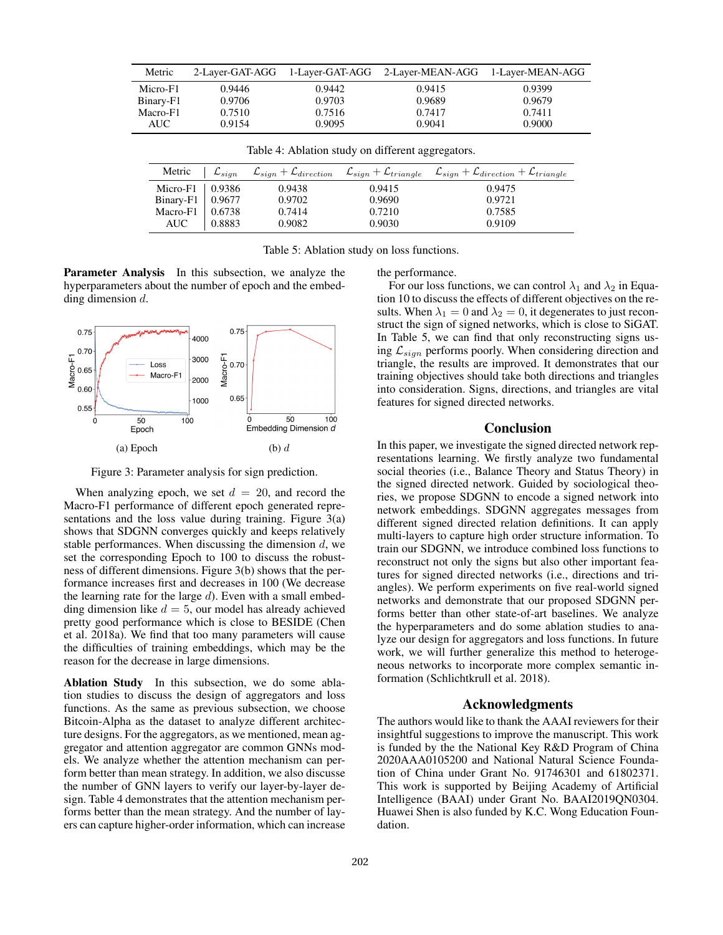| Metric    |        |        | 2-Layer-GAT-AGG 1-Layer-GAT-AGG 2-Layer-MEAN-AGG 1-Layer-MEAN-AGG |        |
|-----------|--------|--------|-------------------------------------------------------------------|--------|
| Micro-F1  | 0.9446 | 0.9442 | 0.9415                                                            | 0.9399 |
| Binary-F1 | 0.9706 | 0.9703 | 0.9689                                                            | 0.9679 |
| Macro-F1  | 0.7510 | 0.7516 | 0.7417                                                            | 0.7411 |
| AUC-      | 0.9154 | 0.9095 | 0.9041                                                            | 0.9000 |

Table 4: Ablation study on different aggregators.

| Metric    | $\mathcal{L}_{sign}$ | $\mathcal{L}_{sign} + \mathcal{L}_{direction}$ |        | $\mathcal{L}_{sign} + \mathcal{L}_{triangle}$ $\mathcal{L}_{sign} + \mathcal{L}_{direction} + \mathcal{L}_{triangle}$ |
|-----------|----------------------|------------------------------------------------|--------|-----------------------------------------------------------------------------------------------------------------------|
| Micro-F1  | 0.9386               | 0.9438                                         | 0.9415 | 0.9475                                                                                                                |
| Binary-F1 | 0.9677               | 0.9702                                         | 0.9690 | 0.9721                                                                                                                |
| Macro-F1  | 0.6738               | 0.7414                                         | 0.7210 | 0.7585                                                                                                                |
| AUC       | 0.8883               | 0.9082                                         | 0.9030 | 0.9109                                                                                                                |

Table 5: Ablation study on loss functions.

Parameter Analysis In this subsection, we analyze the hyperparameters about the number of epoch and the embedding dimension d.



Figure 3: Parameter analysis for sign prediction.

When analyzing epoch, we set  $d = 20$ , and record the Macro-F1 performance of different epoch generated representations and the loss value during training. Figure 3(a) shows that SDGNN converges quickly and keeps relatively stable performances. When discussing the dimension  $d$ , we set the corresponding Epoch to 100 to discuss the robustness of different dimensions. Figure 3(b) shows that the performance increases first and decreases in 100 (We decrease the learning rate for the large  $d$ ). Even with a small embedding dimension like  $d = 5$ , our model has already achieved pretty good performance which is close to BESIDE (Chen et al. 2018a). We find that too many parameters will cause the difficulties of training embeddings, which may be the reason for the decrease in large dimensions.

Ablation Study In this subsection, we do some ablation studies to discuss the design of aggregators and loss functions. As the same as previous subsection, we choose Bitcoin-Alpha as the dataset to analyze different architecture designs. For the aggregators, as we mentioned, mean aggregator and attention aggregator are common GNNs models. We analyze whether the attention mechanism can perform better than mean strategy. In addition, we also discusse the number of GNN layers to verify our layer-by-layer design. Table 4 demonstrates that the attention mechanism performs better than the mean strategy. And the number of layers can capture higher-order information, which can increase the performance.

For our loss functions, we can control  $\lambda_1$  and  $\lambda_2$  in Equation 10 to discuss the effects of different objectives on the results. When  $\lambda_1 = 0$  and  $\lambda_2 = 0$ , it degenerates to just reconstruct the sign of signed networks, which is close to SiGAT. In Table 5, we can find that only reconstructing signs using  $\mathcal{L}_{sign}$  performs poorly. When considering direction and triangle, the results are improved. It demonstrates that our training objectives should take both directions and triangles into consideration. Signs, directions, and triangles are vital features for signed directed networks.

#### Conclusion

In this paper, we investigate the signed directed network representations learning. We firstly analyze two fundamental social theories (i.e., Balance Theory and Status Theory) in the signed directed network. Guided by sociological theories, we propose SDGNN to encode a signed network into network embeddings. SDGNN aggregates messages from different signed directed relation definitions. It can apply multi-layers to capture high order structure information. To train our SDGNN, we introduce combined loss functions to reconstruct not only the signs but also other important features for signed directed networks (i.e., directions and triangles). We perform experiments on five real-world signed networks and demonstrate that our proposed SDGNN performs better than other state-of-art baselines. We analyze the hyperparameters and do some ablation studies to analyze our design for aggregators and loss functions. In future work, we will further generalize this method to heterogeneous networks to incorporate more complex semantic information (Schlichtkrull et al. 2018).

# Acknowledgments

The authors would like to thank the AAAI reviewers for their insightful suggestions to improve the manuscript. This work is funded by the the National Key R&D Program of China 2020AAA0105200 and National Natural Science Foundation of China under Grant No. 91746301 and 61802371. This work is supported by Beijing Academy of Artificial Intelligence (BAAI) under Grant No. BAAI2019QN0304. Huawei Shen is also funded by K.C. Wong Education Foundation.